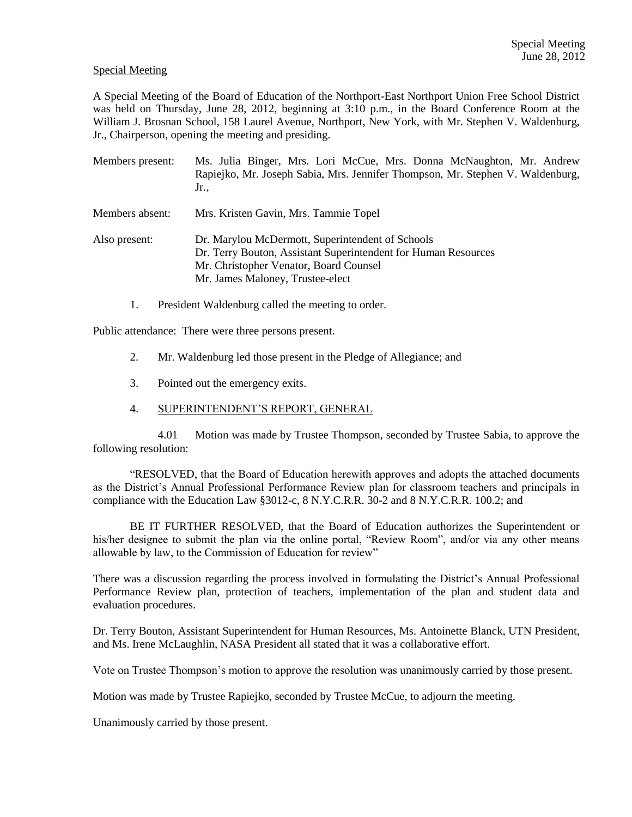## Special Meeting

A Special Meeting of the Board of Education of the Northport-East Northport Union Free School District was held on Thursday, June 28, 2012, beginning at 3:10 p.m., in the Board Conference Room at the William J. Brosnan School, 158 Laurel Avenue, Northport, New York, with Mr. Stephen V. Waldenburg, Jr., Chairperson, opening the meeting and presiding.

- Members present: Ms. Julia Binger, Mrs. Lori McCue, Mrs. Donna McNaughton, Mr. Andrew Rapiejko, Mr. Joseph Sabia, Mrs. Jennifer Thompson, Mr. Stephen V. Waldenburg, Jr.,
- Members absent: Mrs. Kristen Gavin, Mrs. Tammie Topel
- Also present: Dr. Marylou McDermott, Superintendent of Schools Dr. Terry Bouton, Assistant Superintendent for Human Resources Mr. Christopher Venator, Board Counsel Mr. James Maloney, Trustee-elect
	- 1. President Waldenburg called the meeting to order.

Public attendance: There were three persons present.

- 2. Mr. Waldenburg led those present in the Pledge of Allegiance; and
- 3. Pointed out the emergency exits.
- 4. SUPERINTENDENT'S REPORT, GENERAL

4.01 Motion was made by Trustee Thompson, seconded by Trustee Sabia, to approve the following resolution:

"RESOLVED, that the Board of Education herewith approves and adopts the attached documents as the District's Annual Professional Performance Review plan for classroom teachers and principals in compliance with the Education Law §3012-c, 8 N.Y.C.R.R. 30-2 and 8 N.Y.C.R.R. 100.2; and

BE IT FURTHER RESOLVED, that the Board of Education authorizes the Superintendent or his/her designee to submit the plan via the online portal, "Review Room", and/or via any other means allowable by law, to the Commission of Education for review"

There was a discussion regarding the process involved in formulating the District's Annual Professional Performance Review plan, protection of teachers, implementation of the plan and student data and evaluation procedures.

Dr. Terry Bouton, Assistant Superintendent for Human Resources, Ms. Antoinette Blanck, UTN President, and Ms. Irene McLaughlin, NASA President all stated that it was a collaborative effort.

Vote on Trustee Thompson's motion to approve the resolution was unanimously carried by those present.

Motion was made by Trustee Rapiejko, seconded by Trustee McCue, to adjourn the meeting.

Unanimously carried by those present.